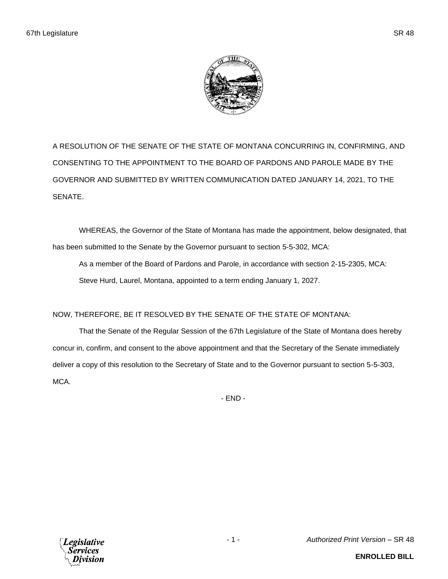

A RESOLUTION OF THE SENATE OF THE STATE OF MONTANA CONCURRING IN, CONFIRMING, AND CONSENTING TO THE APPOINTMENT TO THE BOARD OF PARDONS AND PAROLE MADE BY THE GOVERNOR AND SUBMITTED BY WRITTEN COMMUNICATION DATED JANUARY 14, 2021, TO THE SENATE.

WHEREAS, the Governor of the State of Montana has made the appointment, below designated, that has been submitted to the Senate by the Governor pursuant to section 5-5-302, MCA:

As a member of the Board of Pardons and Parole, in accordance with section 2-15-2305, MCA: Steve Hurd, Laurel, Montana, appointed to a term ending January 1, 2027.

## NOW, THEREFORE, BE IT RESOLVED BY THE SENATE OF THE STATE OF MONTANA:

That the Senate of the Regular Session of the 67th Legislature of the State of Montana does hereby concur in, confirm, and consent to the above appointment and that the Secretary of the Senate immediately deliver a copy of this resolution to the Secretary of State and to the Governor pursuant to section 5-5-303, MCA.

- END -



- 1 - *Authorized Print Version* – SR 48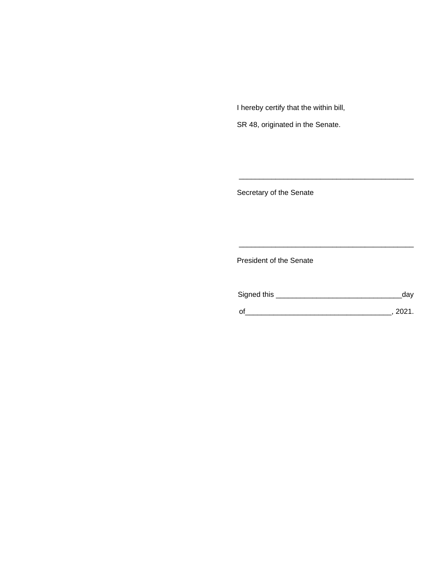I hereby certify that the within bill,

SR 48, originated in the Senate.

Secretary of the Senate

President of the Senate

| Signed this | dav  |
|-------------|------|
|             | 2021 |

\_\_\_\_\_\_\_\_\_\_\_\_\_\_\_\_\_\_\_\_\_\_\_\_\_\_\_\_\_\_\_\_\_\_\_\_\_\_\_\_\_\_\_

\_\_\_\_\_\_\_\_\_\_\_\_\_\_\_\_\_\_\_\_\_\_\_\_\_\_\_\_\_\_\_\_\_\_\_\_\_\_\_\_\_\_\_